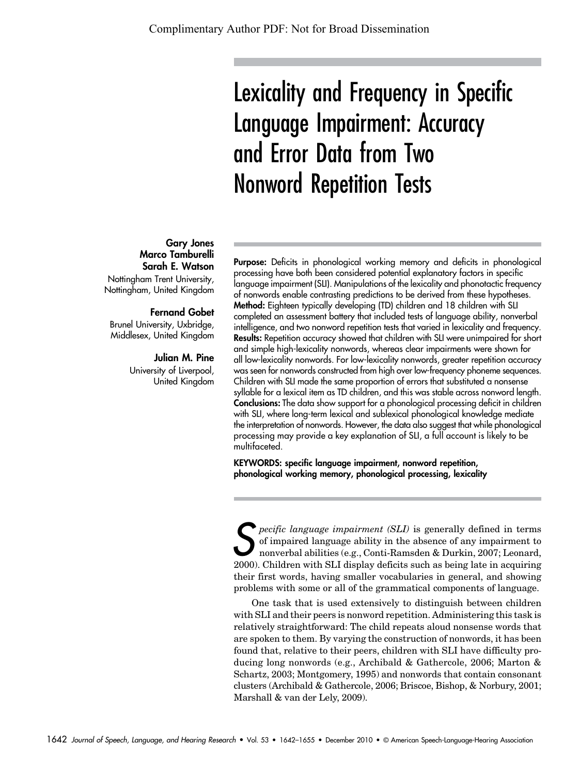# Lexicality and Frequency in Specific Language Impairment: Accuracy and Error Data from Two Nonword Repetition Tests

Gary Jones Marco Tamburelli Sarah E. Watson Nottingham Trent University, Nottingham, United Kingdom

## Fernand Gobet

Brunel University, Uxbridge, Middlesex, United Kingdom

> Julian M. Pine University of Liverpool, United Kingdom

Purpose: Deficits in phonological working memory and deficits in phonological processing have both been considered potential explanatory factors in specific language impairment (SLI). Manipulations of the lexicality and phonotactic frequency of nonwords enable contrasting predictions to be derived from these hypotheses. Method: Eighteen typically developing (TD) children and 18 children with SLI completed an assessment battery that included tests of language ability, nonverbal intelligence, and two nonword repetition tests that varied in lexicality and frequency. Results: Repetition accuracy showed that children with SLI were unimpaired for short and simple high-lexicality nonwords, whereas clear impairments were shown for all low-lexicality nonwords. For low-lexicality nonwords, greater repetition accuracy was seen for nonwords constructed from high over low-frequency phoneme sequences. Children with SLI made the same proportion of errors that substituted a nonsense syllable for a lexical item as TD children, and this was stable across nonword length. Conclusions: The data show support for a phonological processing deficit in children with SLI, where long-term lexical and sublexical phonological knowledge mediate the interpretation of nonwords. However, the data also suggest that while phonological processing may provide a key explanation of SLI, a full account is likely to be multifaceted.

KEYWORDS: specific language impairment, nonword repetition, phonological working memory, phonological processing, lexicality

S pecific language impairment (SLI) is generally defined in terms<br>of impaired language ability in the absence of any impairment to<br>nonverbal abilities (e.g., Conti-Ramsden & Durkin, 2007; Leonard,<br>2000) Children with SLI d of impaired language ability in the absence of any impairment to nonverbal abilities (e.g., Conti-Ramsden & Durkin, 2007; Leonard, 2000). Children with SLI display deficits such as being late in acquiring their first words, having smaller vocabularies in general, and showing problems with some or all of the grammatical components of language.

One task that is used extensively to distinguish between children with SLI and their peers is nonword repetition. Administering this task is relatively straightforward: The child repeats aloud nonsense words that are spoken to them. By varying the construction of nonwords, it has been found that, relative to their peers, children with SLI have difficulty producing long nonwords (e.g., Archibald & Gathercole, 2006; Marton & Schartz, 2003; Montgomery, 1995) and nonwords that contain consonant clusters (Archibald & Gathercole, 2006; Briscoe, Bishop, & Norbury, 2001; Marshall & van der Lely, 2009).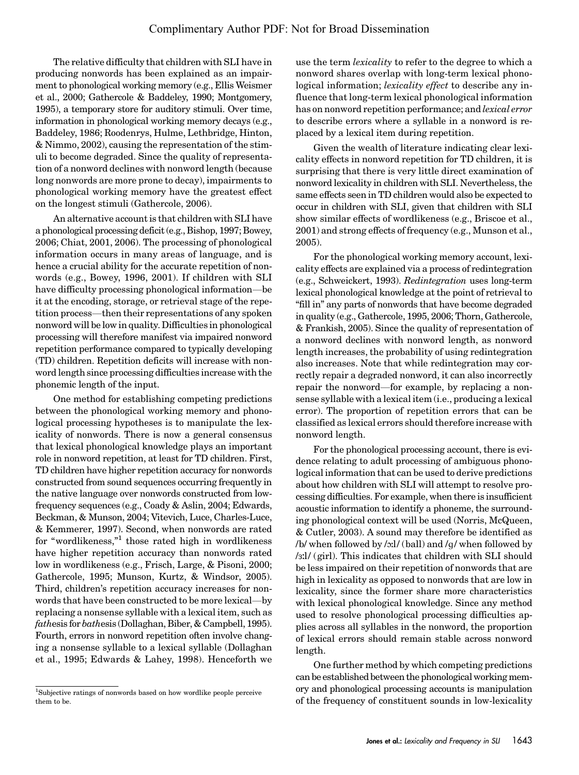The relative difficulty that children with SLI have in producing nonwords has been explained as an impairment to phonological working memory (e.g., Ellis Weismer et al., 2000; Gathercole & Baddeley, 1990; Montgomery, 1995), a temporary store for auditory stimuli. Over time, information in phonological working memory decays (e.g., Baddeley, 1986; Roodenrys, Hulme, Lethbridge, Hinton, & Nimmo, 2002), causing the representation of the stimuli to become degraded. Since the quality of representation of a nonword declines with nonword length (because long nonwords are more prone to decay), impairments to phonological working memory have the greatest effect on the longest stimuli (Gathercole, 2006).

An alternative account is that children with SLI have a phonological processing deficit (e.g., Bishop, 1997; Bowey, 2006; Chiat, 2001, 2006). The processing of phonological information occurs in many areas of language, and is hence a crucial ability for the accurate repetition of nonwords (e.g., Bowey, 1996, 2001). If children with SLI have difficulty processing phonological information—be it at the encoding, storage, or retrieval stage of the repetition process—then their representations of any spoken nonword will be low in quality. Difficulties in phonological processing will therefore manifest via impaired nonword repetition performance compared to typically developing (TD) children. Repetition deficits will increase with nonword length since processing difficulties increase with the phonemic length of the input.

One method for establishing competing predictions between the phonological working memory and phonological processing hypotheses is to manipulate the lexicality of nonwords. There is now a general consensus that lexical phonological knowledge plays an important role in nonword repetition, at least for TD children. First, TD children have higher repetition accuracy for nonwords constructed from sound sequences occurring frequently in the native language over nonwords constructed from lowfrequency sequences (e.g., Coady & Aslin, 2004; Edwards, Beckman, & Munson, 2004; Vitevich, Luce, Charles-Luce, & Kemmerer, 1997). Second, when nonwords are rated for "wordlikeness," <sup>1</sup> those rated high in wordlikeness have higher repetition accuracy than nonwords rated low in wordlikeness (e.g., Frisch, Large, & Pisoni, 2000; Gathercole, 1995; Munson, Kurtz, & Windsor, 2005). Third, children's repetition accuracy increases for nonwords that have been constructed to be more lexical—by replacing a nonsense syllable with a lexical item, such as fathesis for bathesis (Dollaghan, Biber, & Campbell, 1995). Fourth, errors in nonword repetition often involve changing a nonsense syllable to a lexical syllable (Dollaghan et al., 1995; Edwards & Lahey, 1998). Henceforth we use the term lexicality to refer to the degree to which a nonword shares overlap with long-term lexical phonological information; *lexicality effect* to describe any influence that long-term lexical phonological information has on nonword repetition performance; and lexical error to describe errors where a syllable in a nonword is replaced by a lexical item during repetition.

Given the wealth of literature indicating clear lexicality effects in nonword repetition for TD children, it is surprising that there is very little direct examination of nonword lexicality in children with SLI. Nevertheless, the same effects seen in TD children would also be expected to occur in children with SLI, given that children with SLI show similar effects of wordlikeness (e.g., Briscoe et al., 2001) and strong effects of frequency (e.g., Munson et al., 2005).

For the phonological working memory account, lexicality effects are explained via a process of redintegration (e.g., Schweickert, 1993). Redintegration uses long-term lexical phonological knowledge at the point of retrieval to "fill in" any parts of nonwords that have become degraded in quality (e.g., Gathercole, 1995, 2006; Thorn, Gathercole, & Frankish, 2005). Since the quality of representation of a nonword declines with nonword length, as nonword length increases, the probability of using redintegration also increases. Note that while redintegration may correctly repair a degraded nonword, it can also incorrectly repair the nonword—for example, by replacing a nonsense syllable with a lexical item (i.e., producing a lexical error). The proportion of repetition errors that can be classified as lexical errors should therefore increase with nonword length.

For the phonological processing account, there is evidence relating to adult processing of ambiguous phonological information that can be used to derive predictions about how children with SLI will attempt to resolve processing difficulties. For example, when there is insufficient acoustic information to identify a phoneme, the surrounding phonological context will be used (Norris, McQueen, & Cutler, 2003). A sound may therefore be identified as /b/ when followed by /ɔːl/ (ball) and /g/ when followed by /3ːl/ (girl). This indicates that children with SLI should be less impaired on their repetition of nonwords that are high in lexicality as opposed to nonwords that are low in lexicality, since the former share more characteristics with lexical phonological knowledge. Since any method used to resolve phonological processing difficulties applies across all syllables in the nonword, the proportion of lexical errors should remain stable across nonword length.

One further method by which competing predictions can be established between the phonological working memory and phonological processing accounts is manipulation of the frequency of constituent sounds in low-lexicality

<sup>1</sup> Subjective ratings of nonwords based on how wordlike people perceive them to be.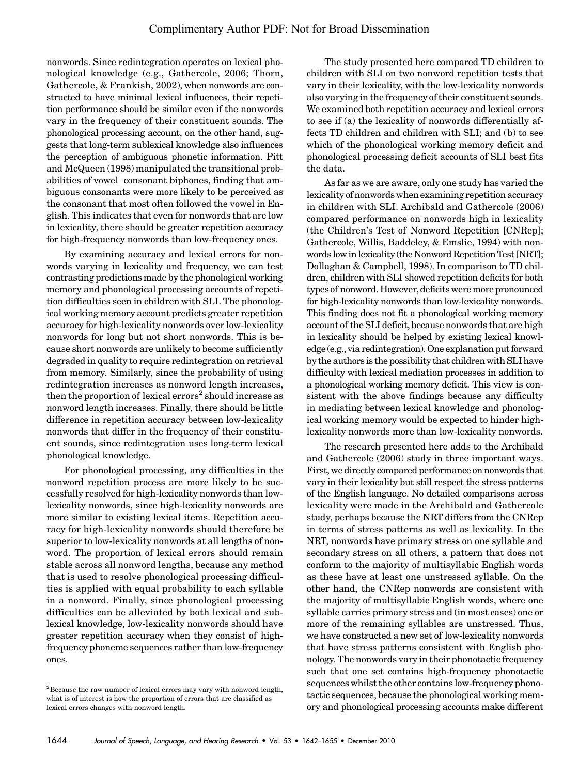nonwords. Since redintegration operates on lexical phonological knowledge (e.g., Gathercole, 2006; Thorn, Gathercole, & Frankish, 2002), when nonwords are constructed to have minimal lexical influences, their repetition performance should be similar even if the nonwords vary in the frequency of their constituent sounds. The phonological processing account, on the other hand, suggests that long-term sublexical knowledge also influences the perception of ambiguous phonetic information. Pitt and McQueen (1998) manipulated the transitional probabilities of vowel–consonant biphones, finding that ambiguous consonants were more likely to be perceived as the consonant that most often followed the vowel in English. This indicates that even for nonwords that are low in lexicality, there should be greater repetition accuracy for high-frequency nonwords than low-frequency ones.

By examining accuracy and lexical errors for nonwords varying in lexicality and frequency, we can test contrasting predictions made by the phonological working memory and phonological processing accounts of repetition difficulties seen in children with SLI. The phonological working memory account predicts greater repetition accuracy for high-lexicality nonwords over low-lexicality nonwords for long but not short nonwords. This is because short nonwords are unlikely to become sufficiently degraded in quality to require redintegration on retrieval from memory. Similarly, since the probability of using redintegration increases as nonword length increases, then the proportion of lexical  $\arccos^2$  should increase as nonword length increases. Finally, there should be little difference in repetition accuracy between low-lexicality nonwords that differ in the frequency of their constituent sounds, since redintegration uses long-term lexical phonological knowledge.

For phonological processing, any difficulties in the nonword repetition process are more likely to be successfully resolved for high-lexicality nonwords than lowlexicality nonwords, since high-lexicality nonwords are more similar to existing lexical items. Repetition accuracy for high-lexicality nonwords should therefore be superior to low-lexicality nonwords at all lengths of nonword. The proportion of lexical errors should remain stable across all nonword lengths, because any method that is used to resolve phonological processing difficulties is applied with equal probability to each syllable in a nonword. Finally, since phonological processing difficulties can be alleviated by both lexical and sublexical knowledge, low-lexicality nonwords should have greater repetition accuracy when they consist of highfrequency phoneme sequences rather than low-frequency ones.

The study presented here compared TD children to children with SLI on two nonword repetition tests that vary in their lexicality, with the low-lexicality nonwords also varying in the frequency of their constituent sounds. We examined both repetition accuracy and lexical errors to see if (a) the lexicality of nonwords differentially affects TD children and children with SLI; and (b) to see which of the phonological working memory deficit and phonological processing deficit accounts of SLI best fits the data.

As far as we are aware, only one study has varied the lexicality of nonwords when examining repetition accuracy in children with SLI. Archibald and Gathercole (2006) compared performance on nonwords high in lexicality (the Children's Test of Nonword Repetition [CNRep]; Gathercole, Willis, Baddeley, & Emslie, 1994) with nonwords low in lexicality (the Nonword Repetition Test [NRT]; Dollaghan & Campbell, 1998). In comparison to TD children, children with SLI showed repetition deficits for both types of nonword. However, deficits were more pronounced for high-lexicality nonwords than low-lexicality nonwords. This finding does not fit a phonological working memory account of the SLI deficit, because nonwords that are high in lexicality should be helped by existing lexical knowledge (e.g., via redintegration). One explanation put forward by the authors is the possibility that children with SLI have difficulty with lexical mediation processes in addition to a phonological working memory deficit. This view is consistent with the above findings because any difficulty in mediating between lexical knowledge and phonological working memory would be expected to hinder highlexicality nonwords more than low-lexicality nonwords.

The research presented here adds to the Archibald and Gathercole (2006) study in three important ways. First, we directly compared performance on nonwords that vary in their lexicality but still respect the stress patterns of the English language. No detailed comparisons across lexicality were made in the Archibald and Gathercole study, perhaps because the NRT differs from the CNRep in terms of stress patterns as well as lexicality. In the NRT, nonwords have primary stress on one syllable and secondary stress on all others, a pattern that does not conform to the majority of multisyllabic English words as these have at least one unstressed syllable. On the other hand, the CNRep nonwords are consistent with the majority of multisyllabic English words, where one syllable carries primary stress and (in most cases) one or more of the remaining syllables are unstressed. Thus, we have constructed a new set of low-lexicality nonwords that have stress patterns consistent with English phonology. The nonwords vary in their phonotactic frequency such that one set contains high-frequency phonotactic sequences whilst the other contains low-frequency phonotactic sequences, because the phonological working memory and phonological processing accounts make different

 $^2\rm{Because}$  the raw number of lexical errors may vary with nonword length, what is of interest is how the proportion of errors that are classified as lexical errors changes with nonword length.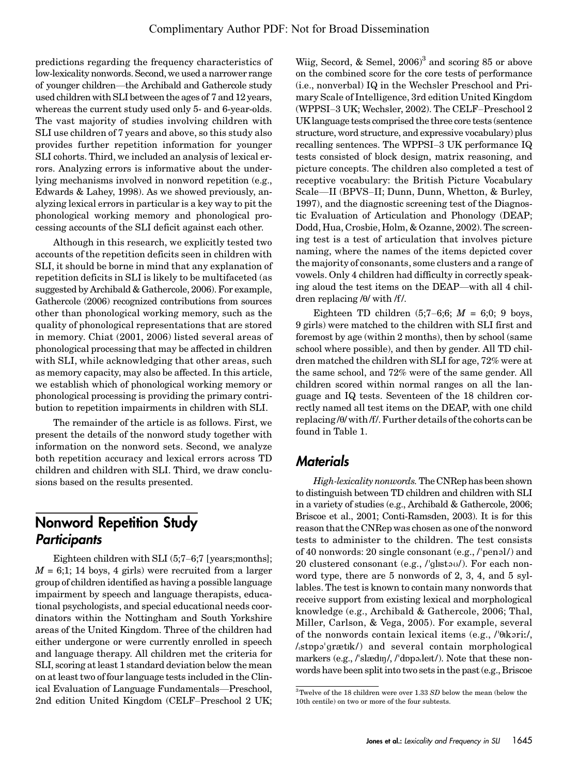predictions regarding the frequency characteristics of low-lexicality nonwords. Second, we used a narrower range of younger children—the Archibald and Gathercole study used children with SLI between the ages of 7 and 12 years, whereas the current study used only 5- and 6-year-olds. The vast majority of studies involving children with SLI use children of 7 years and above, so this study also provides further repetition information for younger SLI cohorts. Third, we included an analysis of lexical errors. Analyzing errors is informative about the underlying mechanisms involved in nonword repetition (e.g., Edwards & Lahey, 1998). As we showed previously, analyzing lexical errors in particular is a key way to pit the phonological working memory and phonological processing accounts of the SLI deficit against each other.

Although in this research, we explicitly tested two accounts of the repetition deficits seen in children with SLI, it should be borne in mind that any explanation of repetition deficits in SLI is likely to be multifaceted (as suggested by Archibald & Gathercole, 2006). For example, Gathercole (2006) recognized contributions from sources other than phonological working memory, such as the quality of phonological representations that are stored in memory. Chiat (2001, 2006) listed several areas of phonological processing that may be affected in children with SLI, while acknowledging that other areas, such as memory capacity, may also be affected. In this article, we establish which of phonological working memory or phonological processing is providing the primary contribution to repetition impairments in children with SLI.

The remainder of the article is as follows. First, we present the details of the nonword study together with information on the nonword sets. Second, we analyze both repetition accuracy and lexical errors across TD children and children with SLI. Third, we draw conclusions based on the results presented.

# Nonword Repetition Study

Eighteen children with SLI  $(5,7-6,7)$  [years;months];  $M = 6;1; 14$  boys, 4 girls) were recruited from a larger group of children identified as having a possible language impairment by speech and language therapists, educational psychologists, and special educational needs coordinators within the Nottingham and South Yorkshire areas of the United Kingdom. Three of the children had either undergone or were currently enrolled in speech and language therapy. All children met the criteria for SLI, scoring at least 1 standard deviation below the mean on at least two of four language tests included in the Clinical Evaluation of Language Fundamentals—Preschool, 2nd edition United Kingdom (CELF–Preschool 2 UK; Wiig, Secord, & Semel,  $2006$ <sup>3</sup> and scoring 85 or above on the combined score for the core tests of performance (i.e., nonverbal) IQ in the Wechsler Preschool and Primary Scale of Intelligence, 3rd edition United Kingdom (WPPSI–3 UK; Wechsler, 2002). The CELF–Preschool 2 UK language tests comprised the three core tests (sentence structure, word structure, and expressive vocabulary) plus recalling sentences. The WPPSI–3 UK performance IQ tests consisted of block design, matrix reasoning, and picture concepts. The children also completed a test of receptive vocabulary: the British Picture Vocabulary Scale—II (BPVS–II; Dunn, Dunn, Whetton, & Burley, 1997), and the diagnostic screening test of the Diagnostic Evaluation of Articulation and Phonology (DEAP; Dodd, Hua, Crosbie, Holm, & Ozanne, 2002). The screening test is a test of articulation that involves picture naming, where the names of the items depicted cover the majority of consonants, some clusters and a range of vowels. Only 4 children had difficulty in correctly speaking aloud the test items on the DEAP—with all 4 children replacing  $\theta$ / with /f/.

Eighteen TD children  $(5,7-6,6; M = 6,0; 9$  boys, 9 girls) were matched to the children with SLI first and foremost by age (within 2 months), then by school (same school where possible), and then by gender. All TD children matched the children with SLI for age, 72% were at the same school, and 72% were of the same gender. All children scored within normal ranges on all the language and IQ tests. Seventeen of the 18 children correctly named all test items on the DEAP, with one child replacing/ $\theta$ / with /f/. Further details of the cohorts can be found in Table 1.

### **Materials**

Materials High-lexicality nonwords.The CNRep has been shown to distinguish between TD children and children with SLI in a variety of studies (e.g., Archibald & Gathercole, 2006; Briscoe et al., 2001; Conti-Ramsden, 2003). It is for this reason that the CNRep was chosen as one of the nonword tests to administer to the children. The test consists of 40 nonwords: 20 single consonant  $(e.g., 'penol')$  and 20 clustered consonant (e.g., /'glistau/). For each nonword type, there are 5 nonwords of 2, 3, 4, and 5 syllables. The test is known to contain many nonwords that receive support from existing lexical and morphological knowledge (e.g., Archibald & Gathercole, 2006; Thal, Miller, Carlson, & Vega, 2005). For example, several of the nonwords contain lexical items (e.g., /ˈθιkəriː/,  $\lambda$ stppə'grætik $\lambda$  and several contain morphological markers (e.g.,  $\frac{1}{s}$ lædin $\frac{1}{s}$ ,  $\frac{1}{s}$ dopə $\frac{1}{s}$ leit $\frac{1}{s}$ ). Note that these nonwords have been split into two sets in the past (e.g., Briscoe

 ${}^{3}{\rm Two}$  of the 18 children were over 1.33  $SD$  below the mean (below the 10th centile) on two or more of the four subtests.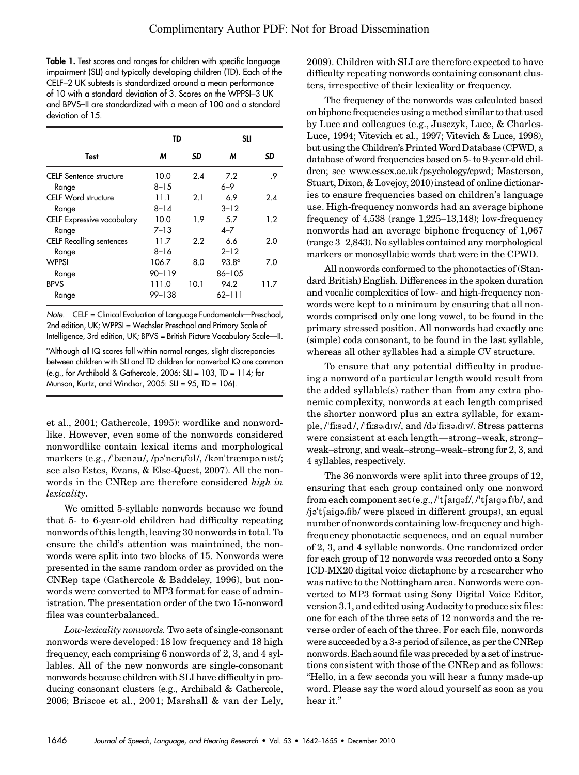Table 1. Test scores and ranges for children with specific language impairment (SLI) and typically developing children (TD). Each of the CELF–2 UK subtests is standardized around a mean performance of 10 with a standard deviation of 3. Scores on the WPPSI–3 UK and BPVS–II are standardized with a mean of 100 and a standard deviation of 15.

|                                          | TD                  |      | SLI                    |      |
|------------------------------------------|---------------------|------|------------------------|------|
| Test                                     | м                   | SD   | M                      | SD   |
| <b>CELF Sentence structure</b><br>Range  | 10.0<br>$8 - 15$    | 2.4  | 7.2<br>$6 - 9$         | .9   |
| <b>CELF Word structure</b><br>Range      | 11.1<br>$8 - 14$    | 2.1  | 6.9<br>$3 - 12$        | 2.4  |
| CELF Expressive vocabulary<br>Range      | 10.0<br>$7 - 13$    | 1.9  | 5.7<br>$4 - 7$         | 1.2  |
| <b>CELF Recalling sentences</b><br>Range | 11.7<br>8-16        | 2.2  | 6.6<br>$2 - 12$        | 2.0  |
| <b>WPPSI</b><br>Range                    | 106.7<br>$90 - 119$ | 8.0  | $93.8^\circ$<br>86-105 | 7.0  |
| <b>BPVS</b><br>Range                     | 111.0<br>99-138     | 10.1 | 94.2<br>62-111         | 11.7 |

Note. CELF = Clinical Evaluation of Language Fundamentals—Preschool, 2nd edition, UK; WPPSI = Wechsler Preschool and Primary Scale of Intelligence, 3rd edition, UK; BPVS = British Picture Vocabulary Scale—II.

a Although all IQ scores fall within normal ranges, slight discrepancies between children with SLI and TD children for nonverbal IQ are common (e.g., for Archibald & Gathercole, 2006: SLI = 103, TD = 114; for Munson, Kurtz, and Windsor, 2005: SLI = 95, TD = 106).

et al., 2001; Gathercole, 1995): wordlike and nonwordlike. However, even some of the nonwords considered nonwordlike contain lexical items and morphological markers (e.g., /'bænəu/, /pə'ner|ful/, /kən'træmpə<sub>l</sub>nist/; see also Estes, Evans, & Else-Quest, 2007). All the nonwords in the CNRep are therefore considered *high in* lexicality.

We omitted 5-syllable nonwords because we found that 5- to 6-year-old children had difficulty repeating nonwords of this length, leaving 30 nonwords in total. To ensure the child's attention was maintained, the nonwords were split into two blocks of 15. Nonwords were presented in the same random order as provided on the CNRep tape (Gathercole & Baddeley, 1996), but nonwords were converted to MP3 format for ease of administration. The presentation order of the two 15-nonword files was counterbalanced.

Low-lexicality nonwords. Two sets of single-consonant nonwords were developed: 18 low frequency and 18 high frequency, each comprising 6 nonwords of 2, 3, and 4 syllables. All of the new nonwords are single-consonant nonwords because children with SLI have difficulty in producing consonant clusters (e.g., Archibald & Gathercole, 2006; Briscoe et al., 2001; Marshall & van der Lely,

2009). Children with SLI are therefore expected to have difficulty repeating nonwords containing consonant clusters, irrespective of their lexicality or frequency.

The frequency of the nonwords was calculated based on biphone frequencies using a method similar to that used by Luce and colleagues (e.g., Jusczyk, Luce, & Charles-Luce, 1994; Vitevich et al., 1997; Vitevich & Luce, 1998), but using the Children's PrintedWord Database (CPWD, a database of word frequencies based on 5- to 9-year-old children; see www.essex.ac.uk /psychology/cpwd; Masterson, Stuart, Dixon, & Lovejoy, 2010) instead of online dictionaries to ensure frequencies based on children's language use. High-frequency nonwords had an average biphone frequency of  $4,538$  (range  $1,225-13,148$ ); low-frequency nonwords had an average biphone frequency of 1,067 (range 3–2,843). No syllables contained any morphological markers or monosyllabic words that were in the CPWD.

All nonwords conformed to the phonotactics of (Standard British) English. Differences in the spoken duration and vocalic complexities of low- and high-frequency nonwords were kept to a minimum by ensuring that all nonwords comprised only one long vowel, to be found in the primary stressed position. All nonwords had exactly one (simple) coda consonant, to be found in the last syllable, whereas all other syllables had a simple CV structure.

To ensure that any potential difficulty in producing a nonword of a particular length would result from the added syllable(s) rather than from any extra phonemic complexity, nonwords at each length comprised the shorter nonword plus an extra syllable, for example, /ˈfiːsəd /, /ˈfiːsəˌdɪv/, and /dəˈfiːsəˌdɪv/. Stress patterns were consistent at each length—strong–weak, strong– weak–strong, and weak–strong–weak–strong for 2, 3, and 4 syllables, respectively.

The 36 nonwords were split into three groups of 12, ensuring that each group contained only one nonword from each component set (e.g.,  $/t$ [aigəf/,  $/t$ [aigə $_1$ fib/, and /jəttʃaiɡəsfIb/ were placed in different groups), an equal number of nonwords containing low-frequency and highfrequency phonotactic sequences, and an equal number of 2, 3, and 4 syllable nonwords. One randomized order for each group of 12 nonwords was recorded onto a Sony ICD-MX20 digital voice dictaphone by a researcher who was native to the Nottingham area. Nonwords were converted to MP3 format using Sony Digital Voice Editor, version 3.1, and edited using Audacity to produce six files: one for each of the three sets of 12 nonwords and the reverse order of each of the three. For each file, nonwords were succeeded by a 3-s period of silence, as per the CNRep nonwords. Each sound file was preceded by a set of instructions consistent with those of the CNRep and as follows: "Hello, in a few seconds you will hear a funny made-up word. Please say the word aloud yourself as soon as you hear it."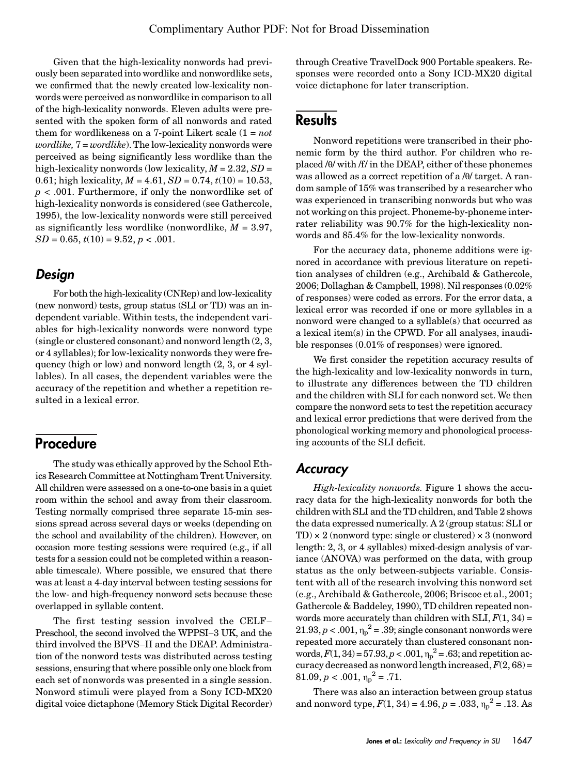Given that the high-lexicality nonwords had previously been separated into wordlike and nonwordlike sets, we confirmed that the newly created low-lexicality nonwords were perceived as nonwordlike in comparison to all of the high-lexicality nonwords. Eleven adults were presented with the spoken form of all nonwords and rated them for wordlikeness on a 7-point Likert scale  $(1 = not$ wordlike,  $7 = worldlike$ ). The low-lexicality nonwords were perceived as being significantly less wordlike than the high-lexicality nonwords (low lexicality,  $M = 2.32$ ,  $SD =$ 0.61; high lexicality,  $M = 4.61$ ,  $SD = 0.74$ ,  $t(10) = 10.53$ ,  $p < .001$ . Furthermore, if only the nonwordlike set of high-lexicality nonwords is considered (see Gathercole, 1995), the low-lexicality nonwords were still perceived as significantly less wordlike (nonwordlike,  $M = 3.97$ ,  $SD = 0.65, t(10) = 9.52, p < .001.$ 

For both the high-lexicality (CNRep) and low-lexicality (new nonword) tests, group status (SLI or TD) was an independent variable. Within tests, the independent variables for high-lexicality nonwords were nonword type (single or clustered consonant) and nonword length (2, 3, or 4 syllables); for low-lexicality nonwords they were frequency (high or low) and nonword length (2, 3, or 4 syllables). In all cases, the dependent variables were the accuracy of the repetition and whether a repetition resulted in a lexical error.

## **Procedure**

The study was ethically approved by the School Ethics Research Committee at Nottingham Trent University. All children were assessed on a one-to-one basis in a quiet room within the school and away from their classroom. Testing normally comprised three separate 15-min sessions spread across several days or weeks (depending on the school and availability of the children). However, on occasion more testing sessions were required (e.g., if all tests for a session could not be completed within a reasonable timescale). Where possible, we ensured that there was at least a 4-day interval between testing sessions for the low- and high-frequency nonword sets because these overlapped in syllable content.

The first testing session involved the CELF– Preschool, the second involved the WPPSI–3 UK, and the third involved the BPVS–II and the DEAP. Administration of the nonword tests was distributed across testing sessions, ensuring that where possible only one block from each set of nonwords was presented in a single session. Nonword stimuli were played from a Sony ICD-MX20 digital voice dictaphone (Memory Stick Digital Recorder) through Creative TravelDock 900 Portable speakers. Responses were recorded onto a Sony ICD-MX20 digital voice dictaphone for later transcription.

# **Results**

Nonword repetitions were transcribed in their phonemic form by the third author. For children who replaced  $\theta$  with  $\beta$  in the DEAP, either of these phonemes was allowed as a correct repetition of a  $\theta$  target. A random sample of 15% was transcribed by a researcher who was experienced in transcribing nonwords but who was not working on this project. Phoneme-by-phoneme interrater reliability was 90.7% for the high-lexicality nonwords and 85.4% for the low-lexicality nonwords.

For the accuracy data, phoneme additions were ignored in accordance with previous literature on repetition analyses of children (e.g., Archibald & Gathercole, 2006; Dollaghan & Campbell, 1998). Nil responses (0.02% of responses) were coded as errors. For the error data, a lexical error was recorded if one or more syllables in a nonword were changed to a syllable(s) that occurred as a lexical item(s) in the CPWD. For all analyses, inaudible responses (0.01% of responses) were ignored.

We first consider the repetition accuracy results of the high-lexicality and low-lexicality nonwords in turn, to illustrate any differences between the TD children and the children with SLI for each nonword set. We then compare the nonword sets to test the repetition accuracy and lexical error predictions that were derived from the phonological working memory and phonological processing accounts of the SLI deficit.

High-lexicality nonwords. Figure 1 shows the accuracy data for the high-lexicality nonwords for both the children with SLI and the TD children, and Table 2 shows the data expressed numerically. A 2 (group status: SLI or  $TD) \times 2$  (nonword type: single or clustered)  $\times 3$  (nonword length: 2, 3, or 4 syllables) mixed-design analysis of variance (ANOVA) was performed on the data, with group status as the only between-subjects variable. Consistent with all of the research involving this nonword set (e.g., Archibald & Gathercole, 2006; Briscoe et al., 2001; Gathercole & Baddeley, 1990), TD children repeated nonwords more accurately than children with SLI,  $F(1, 34) =$ 21.93,  $p < .001$ ,  $\eta_p^2 = .39$ ; single consonant nonwords were repeated more accurately than clustered consonant nonwords,  $F(1, 34) = 57.93, p < .001, \eta_p^2 = .63$ ; and repetition accuracy decreased as nonword length increased,  $F(2, 68)$  =  $81.09, p < .001, \eta_p^2 = .71.$ 

There was also an interaction between group status and nonword type,  $F(1, 34) = 4.96, p = .033, \eta_{\rm p}^{\rm 2} = .13.$  As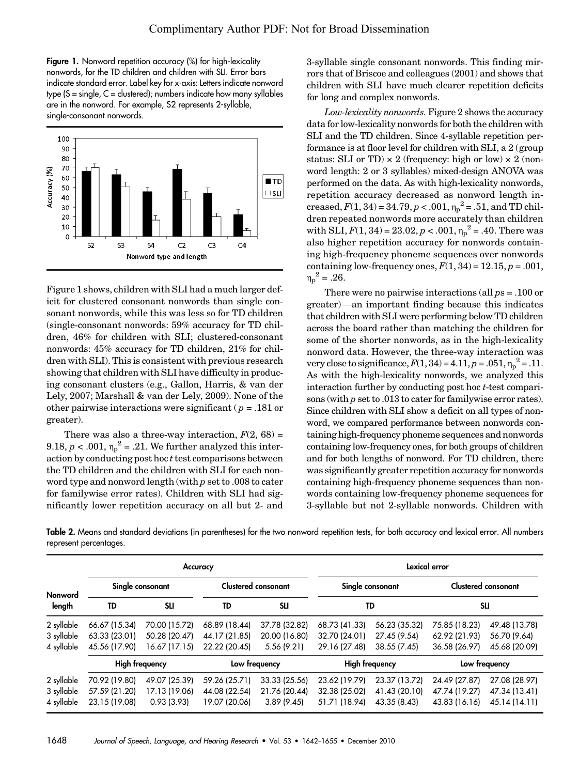Figure 1. Nonword repetition accuracy (%) for high-lexicality nonwords, for the TD children and children with SLI. Error bars indicate standard error. Label key for x-axis: Letters indicate nonword type ( $S = \text{single}, C = \text{clustered}$ ); numbers indicate how many syllables are in the nonword. For example, S2 represents 2-syllable, single-consonant nonwords.



Figure 1 shows, children with SLI had a much larger deficit for clustered consonant nonwords than single consonant nonwords, while this was less so for TD children (single-consonant nonwords: 59% accuracy for TD children, 46% for children with SLI; clustered-consonant nonwords: 45% accuracy for TD children, 21% for children with SLI). This is consistent with previous research showing that children with SLI have difficulty in producing consonant clusters (e.g., Gallon, Harris, & van der Lely, 2007; Marshall & van der Lely, 2009). None of the other pairwise interactions were significant ( $p = .181$  or greater).

There was also a three-way interaction,  $F(2, 68) =$ 9.18,  $p < .001$ ,  $\eta_p^2 = .21$ . We further analyzed this interaction by conducting post hoc  $t$  test comparisons between the TD children and the children with SLI for each nonword type and nonword length (with  $p$  set to .008 to cater for familywise error rates). Children with SLI had significantly lower repetition accuracy on all but 2- and 3-syllable single consonant nonwords. This finding mirrors that of Briscoe and colleagues (2001) and shows that children with SLI have much clearer repetition deficits for long and complex nonwords.

Low-lexicality nonwords. Figure 2 shows the accuracy data for low-lexicality nonwords for both the children with SLI and the TD children. Since 4-syllable repetition performance is at floor level for children with SLI, a 2 (group status: SLI or TD)  $\times$  2 (frequency: high or low)  $\times$  2 (nonword length: 2 or 3 syllables) mixed-design ANOVA was performed on the data. As with high-lexicality nonwords, repetition accuracy decreased as nonword length increased,  $F(1, 34) = 34.79, p < .001, \eta_p^2 = .51$ , and TD children repeated nonwords more accurately than children with SLI,  $F(1, 34) = 23.02, p < .001, \eta_p^2 = .40$ . There was also higher repetition accuracy for nonwords containing high-frequency phoneme sequences over nonwords containing low-frequency ones,  $F(1, 34) = 12.15$ ,  $p = .001$ ,  $\eta_{\rm p}^{\ \, 2} = .26.$ 

There were no pairwise interactions (all  $ps = .100$  or greater)—an important finding because this indicates that children with SLI were performing below TD children across the board rather than matching the children for some of the shorter nonwords, as in the high-lexicality nonword data. However, the three-way interaction was very close to significance,  $F(1, 34) = 4.11$ ,  $p = .051$ ,  $\eta_p^2 = .11$ . As with the high-lexicality nonwords, we analyzed this interaction further by conducting post hoc  $t$ -test comparisons (with p set to .013 to cater for familywise error rates). Since children with SLI show a deficit on all types of nonword, we compared performance between nonwords containing high-frequency phoneme sequences and nonwords containing low-frequency ones, for both groups of children and for both lengths of nonword. For TD children, there was significantly greater repetition accuracy for nonwords containing high-frequency phoneme sequences than nonwords containing low-frequency phoneme sequences for 3-syllable but not 2-syllable nonwords. Children with

Table 2. Means and standard deviations (in parentheses) for the two nonword repetition tests, for both accuracy and lexical error. All numbers represent percentages.

|                   | <b>Accuracy</b>  |                       |                            |               | Lexical error         |               |                            |               |
|-------------------|------------------|-----------------------|----------------------------|---------------|-----------------------|---------------|----------------------------|---------------|
| Nonword<br>length | Single consonant |                       | <b>Clustered consonant</b> |               | Single consonant      |               | <b>Clustered consonant</b> |               |
|                   | TD               | <b>SLI</b>            | TD                         | <b>SLI</b>    | TD                    |               | <b>SLI</b>                 |               |
| 2 syllable        | 66.67 (15.34)    | 70.00 (15.72)         | 68.89 (18.44)              | 37.78 (32.82) | 68.73 (41.33)         | 56.23 (35.32) | 75.85 (18.23)              | 49.48 (13.78) |
| 3 syllable        | 63.33 (23.01)    | 50.28 (20.47)         | 44.17 (21.85)              | 20.00 (16.80) | 32.70 (24.01)         | 27.45 (9.54)  | 62.92 (21.93)              | 56.70 (9.64)  |
| 4 syllable        | 45.56 (17.90)    | 16.67 (17.15)         | 22.22 (20.45)              | 5.56 (9.21)   | 29.16 (27.48)         | 38.55 (7.45)  | 36.58 (26.97)              | 45.68 (20.09) |
|                   |                  | <b>High frequency</b> |                            | Low frequency | <b>High frequency</b> |               | Low frequency              |               |
| 2 syllable        | 70.92 (19.80)    | 49.07 (25.39)         | 59.26 (25.71)              | 33.33 (25.56) | 23.62 (19.79)         | 23.37 (13.72) | 24.49 (27.87)              | 27.08 (28.97) |
| 3 syllable        | 57.59 (21.20)    | 17.13 (19.06)         | 44.08 (22.54)              | 21.76 (20.44) | 32.38 (25.02)         | 41.43 (20.10) | 47.74 (19.27)              | 47.34 (13.41) |
| 4 syllable        | 23.15 (19.08)    | 0.93(3.93)            | 19.07 (20.06)              | 3.89(9.45)    | 51.71 (18.94)         | 43.35 (8.43)  | 43.83 (16.16)              | 45.14 (14.11) |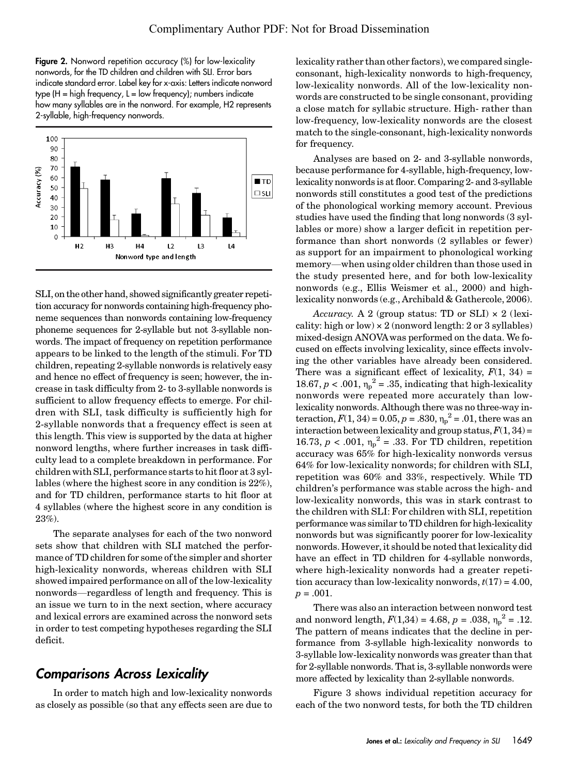Figure 2. Nonword repetition accuracy (%) for low-lexicality nonwords, for the TD children and children with SLI. Error bars indicate standard error. Label key for x-axis: Letters indicate nonword type (H = high frequency, L = low frequency); numbers indicate how many syllables are in the nonword. For example, H2 represents 2-syllable, high-frequency nonwords.



SLI, on the other hand, showed significantly greater repetition accuracy for nonwords containing high-frequency phoneme sequences than nonwords containing low-frequency phoneme sequences for 2-syllable but not 3-syllable nonwords. The impact of frequency on repetition performance appears to be linked to the length of the stimuli. For TD children, repeating 2-syllable nonwords is relatively easy and hence no effect of frequency is seen; however, the increase in task difficulty from 2- to 3-syllable nonwords is sufficient to allow frequency effects to emerge. For children with SLI, task difficulty is sufficiently high for 2-syllable nonwords that a frequency effect is seen at this length. This view is supported by the data at higher nonword lengths, where further increases in task difficulty lead to a complete breakdown in performance. For children with SLI, performance starts to hit floor at 3 syllables (where the highest score in any condition is 22%), and for TD children, performance starts to hit floor at 4 syllables (where the highest score in any condition is 23%).

The separate analyses for each of the two nonword sets show that children with SLI matched the performance of TD children for some of the simpler and shorter high-lexicality nonwords, whereas children with SLI showed impaired performance on all of the low-lexicality nonwords—regardless of length and frequency. This is an issue we turn to in the next section, where accuracy and lexical errors are examined across the nonword sets in order to test competing hypotheses regarding the SLI deficit.

In order to match high and low-lexicality nonwords as closely as possible (so that any effects seen are due to lexicality rather than other factors), we compared singleconsonant, high-lexicality nonwords to high-frequency, low-lexicality nonwords. All of the low-lexicality nonwords are constructed to be single consonant, providing a close match for syllabic structure. High- rather than low-frequency, low-lexicality nonwords are the closest match to the single-consonant, high-lexicality nonwords for frequency.

Analyses are based on 2- and 3-syllable nonwords, because performance for 4-syllable, high-frequency, lowlexicality nonwords is at floor. Comparing 2- and 3-syllable nonwords still constitutes a good test of the predictions of the phonological working memory account. Previous studies have used the finding that long nonwords (3 syllables or more) show a larger deficit in repetition performance than short nonwords (2 syllables or fewer) as support for an impairment to phonological working memory—when using older children than those used in the study presented here, and for both low-lexicality nonwords (e.g., Ellis Weismer et al., 2000) and highlexicality nonwords (e.g., Archibald & Gathercole, 2006).

Accuracy. A 2 (group status: TD or SLI)  $\times$  2 (lexicality: high or low)  $\times$  2 (nonword length: 2 or 3 syllables) mixed-design ANOVAwas performed on the data. We focused on effects involving lexicality, since effects involving the other variables have already been considered. There was a significant effect of lexicality,  $F(1, 34) =$ 18.67,  $p < .001$ ,  $\eta_p^2 = .35$ , indicating that high-lexicality nonwords were repeated more accurately than lowlexicality nonwords. Although there was no three-way interaction,  $F(1, 34) = 0.05$ ,  $p = .830$ ,  $\eta_p^2 = .01$ , there was an interaction between lexicality and group status,  $F(1, 34) =$ 16.73,  $p < .001$ ,  $\eta_p^2 = .33$ . For TD children, repetition accuracy was 65% for high-lexicality nonwords versus 64% for low-lexicality nonwords; for children with SLI, repetition was 60% and 33%, respectively. While TD children's performance was stable across the high- and low-lexicality nonwords, this was in stark contrast to the children with SLI: For children with SLI, repetition performance was similar to TD children for high-lexicality nonwords but was significantly poorer for low-lexicality nonwords. However, it should be noted that lexicality did have an effect in TD children for 4-syllable nonwords, where high-lexicality nonwords had a greater repetition accuracy than low-lexicality nonwords,  $t(17) = 4.00$ ,  $p = .001$ .

There was also an interaction between nonword test and nonword length,  $F(1,34) = 4.68$ ,  $p = .038$ ,  $\eta_p^2 = .12$ . The pattern of means indicates that the decline in performance from 3-syllable high-lexicality nonwords to 3-syllable low-lexicality nonwords was greater than that for 2-syllable nonwords. That is, 3-syllable nonwords were more affected by lexicality than 2-syllable nonwords.

Figure 3 shows individual repetition accuracy for each of the two nonword tests, for both the TD children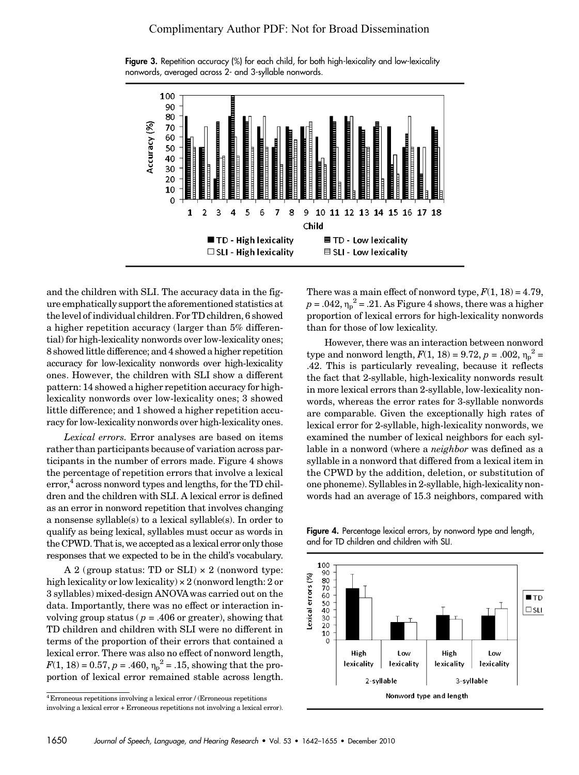



and the children with SLI. The accuracy data in the figure emphatically support the aforementioned statistics at the level of individual children. For TD children, 6 showed a higher repetition accuracy ( larger than 5% differential) for high-lexicality nonwords over low-lexicality ones; 8 showed little difference; and 4 showed a higher repetition accuracy for low-lexicality nonwords over high-lexicality ones. However, the children with SLI show a different pattern: 14 showed a higher repetition accuracy for highlexicality nonwords over low-lexicality ones; 3 showed little difference; and 1 showed a higher repetition accuracy for low-lexicality nonwords over high-lexicality ones.

Lexical errors. Error analyses are based on items rather than participants because of variation across participants in the number of errors made. Figure 4 shows the percentage of repetition errors that involve a lexical error,<sup>4</sup> across nonword types and lengths, for the TD children and the children with SLI. A lexical error is defined as an error in nonword repetition that involves changing a nonsense syllable(s) to a lexical syllable(s). In order to qualify as being lexical, syllables must occur as words in the CPWD. That is, we accepted as a lexical error only those responses that we expected to be in the child's vocabulary.

A 2 (group status: TD or SLI)  $\times$  2 (nonword type: high lexicality or low lexicality)  $\times$  2 (nonword length: 2 or 3 syllables) mixed-design ANOVAwas carried out on the data. Importantly, there was no effect or interaction involving group status ( $p = .406$  or greater), showing that TD children and children with SLI were no different in terms of the proportion of their errors that contained a lexical error. There was also no effect of nonword length,  $F(1, 18) = 0.57, p = .460, \eta_{\rm p}^2 = .15$ , showing that the proportion of lexical error remained stable across length. There was a main effect of nonword type,  $F(1, 18) = 4.79$ ,  $p = .042$ ,  $\eta_p^2 = .21$ . As Figure 4 shows, there was a higher proportion of lexical errors for high-lexicality nonwords than for those of low lexicality.

However, there was an interaction between nonword type and nonword length,  $F(1, 18) = 9.72, p = .002, \eta_p^2 =$ .42. This is particularly revealing, because it reflects the fact that 2-syllable, high-lexicality nonwords result in more lexical errors than 2-syllable, low-lexicality nonwords, whereas the error rates for 3-syllable nonwords are comparable. Given the exceptionally high rates of lexical error for 2-syllable, high-lexicality nonwords, we examined the number of lexical neighbors for each syllable in a nonword (where a neighbor was defined as a syllable in a nonword that differed from a lexical item in the CPWD by the addition, deletion, or substitution of one phoneme). Syllables in 2-syllable, high-lexicality nonwords had an average of 15.3 neighbors, compared with



Figure 4. Percentage lexical errors, by nonword type and length, and for TD children and children with SLI.

<sup>4</sup>Erroneous repetitions involving a lexical error / (Erroneous repetitions involving a lexical error + Erroneous repetitions not involving a lexical error).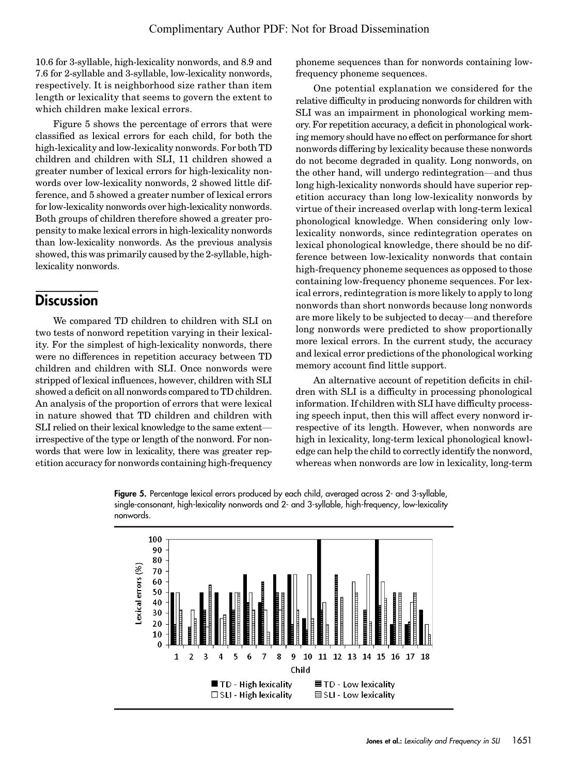10.6 for 3-syllable, high-lexicality nonwords, and 8.9 and 7.6 for 2-syllable and 3-syllable, low-lexicality nonwords, respectively. It is neighborhood size rather than item length or lexicality that seems to govern the extent to which children make lexical errors.

Figure 5 shows the percentage of errors that were classified as lexical errors for each child, for both the high-lexicality and low-lexicality nonwords. For both TD children and children with SLI, 11 children showed a greater number of lexical errors for high-lexicality nonwords over low-lexicality nonwords, 2 showed little difference, and 5 showed a greater number of lexical errors for low-lexicality nonwords over high-lexicality nonwords. Both groups of children therefore showed a greater propensity to make lexical errors in high-lexicality nonwords than low-lexicality nonwords. As the previous analysis showed, this was primarily caused by the 2-syllable, highlexicality nonwords.

### **Discussion**

We compared TD children to children with SLI on two tests of nonword repetition varying in their lexicality. For the simplest of high-lexicality nonwords, there were no differences in repetition accuracy between TD children and children with SLI. Once nonwords were stripped of lexical influences, however, children with SLI showed a deficit on all nonwords compared to TD children. An analysis of the proportion of errors that were lexical in nature showed that TD children and children with SLI relied on their lexical knowledge to the same extent irrespective of the type or length of the nonword. For nonwords that were low in lexicality, there was greater repetition accuracy for nonwords containing high-frequency

phoneme sequences than for nonwords containing lowfrequency phoneme sequences.

One potential explanation we considered for the relative difficulty in producing nonwords for children with SLI was an impairment in phonological working memory. For repetition accuracy, a deficit in phonological working memory should have no effect on performance for short nonwords differing by lexicality because these nonwords do not become degraded in quality. Long nonwords, on the other hand, will undergo redintegration—and thus long high-lexicality nonwords should have superior repetition accuracy than long low-lexicality nonwords by virtue of their increased overlap with long-term lexical phonological knowledge. When considering only lowlexicality nonwords, since redintegration operates on lexical phonological knowledge, there should be no difference between low-lexicality nonwords that contain high-frequency phoneme sequences as opposed to those containing low-frequency phoneme sequences. For lexical errors, redintegration is more likely to apply to long nonwords than short nonwords because long nonwords are more likely to be subjected to decay—and therefore long nonwords were predicted to show proportionally more lexical errors. In the current study, the accuracy and lexical error predictions of the phonological working memory account find little support.

An alternative account of repetition deficits in children with SLI is a difficulty in processing phonological information. If children with SLI have difficulty processing speech input, then this will affect every nonword irrespective of its length. However, when nonwords are high in lexicality, long-term lexical phonological knowledge can help the child to correctly identify the nonword, whereas when nonwords are low in lexicality, long-term

Figure 5. Percentage lexical errors produced by each child, averaged across 2- and 3-syllable, single-consonant, high-lexicality nonwords and 2- and 3-syllable, high-frequency, low-lexicality nonwords.

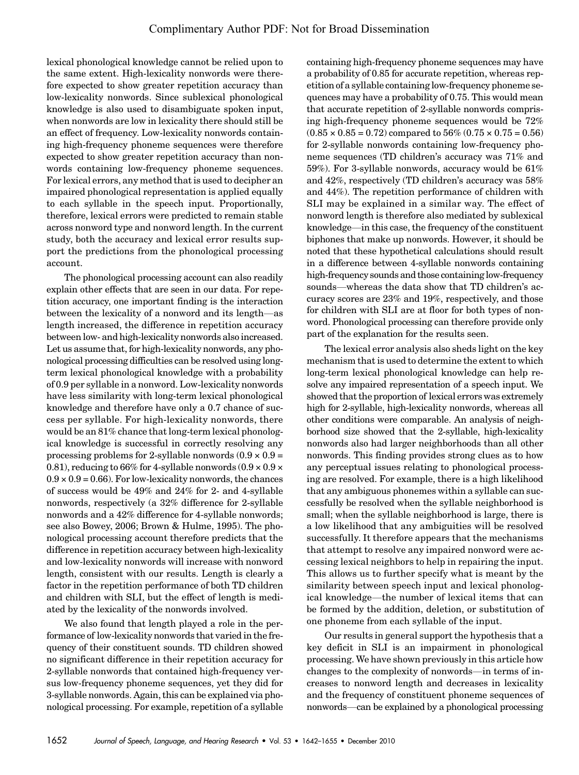lexical phonological knowledge cannot be relied upon to the same extent. High-lexicality nonwords were therefore expected to show greater repetition accuracy than low-lexicality nonwords. Since sublexical phonological knowledge is also used to disambiguate spoken input, when nonwords are low in lexicality there should still be an effect of frequency. Low-lexicality nonwords containing high-frequency phoneme sequences were therefore expected to show greater repetition accuracy than nonwords containing low-frequency phoneme sequences. For lexical errors, any method that is used to decipher an impaired phonological representation is applied equally to each syllable in the speech input. Proportionally, therefore, lexical errors were predicted to remain stable across nonword type and nonword length. In the current study, both the accuracy and lexical error results support the predictions from the phonological processing account.

The phonological processing account can also readily explain other effects that are seen in our data. For repetition accuracy, one important finding is the interaction between the lexicality of a nonword and its length—as length increased, the difference in repetition accuracy between low- and high-lexicality nonwords also increased. Let us assume that, for high-lexicality nonwords, any phonological processing difficulties can be resolved using longterm lexical phonological knowledge with a probability of 0.9 per syllable in a nonword. Low-lexicality nonwords have less similarity with long-term lexical phonological knowledge and therefore have only a 0.7 chance of success per syllable. For high-lexicality nonwords, there would be an 81% chance that long-term lexical phonological knowledge is successful in correctly resolving any processing problems for 2-syllable nonwords  $(0.9 \times 0.9 =$ 0.81), reducing to 66% for 4-syllable nonwords  $(0.9 \times 0.9 \times$  $0.9 \times 0.9 = 0.66$ . For low-lexicality nonwords, the chances of success would be 49% and 24% for 2- and 4-syllable nonwords, respectively (a 32% difference for 2-syllable nonwords and a 42% difference for 4-syllable nonwords; see also Bowey, 2006; Brown & Hulme, 1995). The phonological processing account therefore predicts that the difference in repetition accuracy between high-lexicality and low-lexicality nonwords will increase with nonword length, consistent with our results. Length is clearly a factor in the repetition performance of both TD children and children with SLI, but the effect of length is mediated by the lexicality of the nonwords involved.

We also found that length played a role in the performance of low-lexicality nonwords that varied in the frequency of their constituent sounds. TD children showed no significant difference in their repetition accuracy for 2-syllable nonwords that contained high-frequency versus low-frequency phoneme sequences, yet they did for 3-syllable nonwords. Again, this can be explained via phonological processing. For example, repetition of a syllable containing high-frequency phoneme sequences may have a probability of 0.85 for accurate repetition, whereas repetition of a syllable containing low-frequency phoneme sequences may have a probability of 0.75. This would mean that accurate repetition of 2-syllable nonwords comprising high-frequency phoneme sequences would be 72%  $(0.85 \times 0.85 = 0.72)$  compared to 56%  $(0.75 \times 0.75 = 0.56)$ for 2-syllable nonwords containing low-frequency phoneme sequences (TD children's accuracy was 71% and 59%). For 3-syllable nonwords, accuracy would be 61% and 42%, respectively (TD children's accuracy was 58% and 44%). The repetition performance of children with SLI may be explained in a similar way. The effect of nonword length is therefore also mediated by sublexical knowledge—in this case, the frequency of the constituent biphones that make up nonwords. However, it should be noted that these hypothetical calculations should result in a difference between 4-syllable nonwords containing high-frequency sounds and those containing low-frequency sounds—whereas the data show that TD children's accuracy scores are 23% and 19%, respectively, and those for children with SLI are at floor for both types of nonword. Phonological processing can therefore provide only part of the explanation for the results seen.

The lexical error analysis also sheds light on the key mechanism that is used to determine the extent to which long-term lexical phonological knowledge can help resolve any impaired representation of a speech input. We showed that the proportion of lexical errors was extremely high for 2-syllable, high-lexicality nonwords, whereas all other conditions were comparable. An analysis of neighborhood size showed that the 2-syllable, high-lexicality nonwords also had larger neighborhoods than all other nonwords. This finding provides strong clues as to how any perceptual issues relating to phonological processing are resolved. For example, there is a high likelihood that any ambiguous phonemes within a syllable can successfully be resolved when the syllable neighborhood is small; when the syllable neighborhood is large, there is a low likelihood that any ambiguities will be resolved successfully. It therefore appears that the mechanisms that attempt to resolve any impaired nonword were accessing lexical neighbors to help in repairing the input. This allows us to further specify what is meant by the similarity between speech input and lexical phonological knowledge—the number of lexical items that can be formed by the addition, deletion, or substitution of one phoneme from each syllable of the input.

Our results in general support the hypothesis that a key deficit in SLI is an impairment in phonological processing. We have shown previously in this article how changes to the complexity of nonwords—in terms of increases to nonword length and decreases in lexicality and the frequency of constituent phoneme sequences of nonwords—can be explained by a phonological processing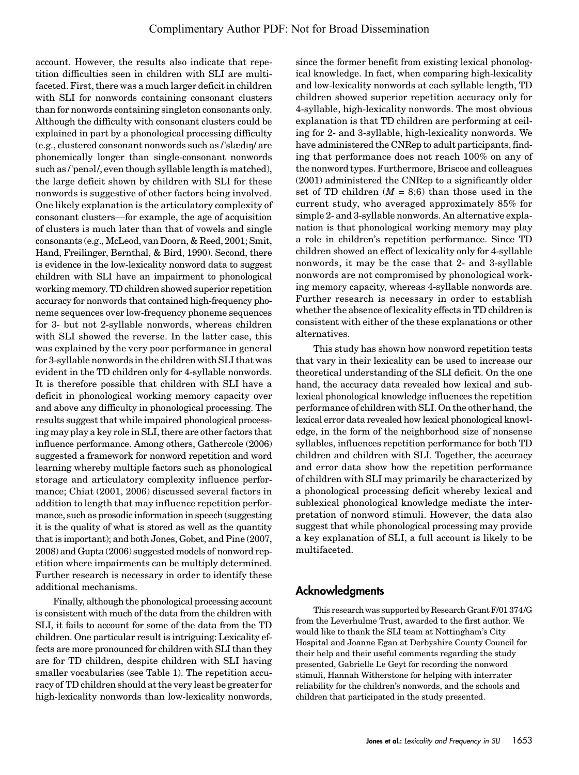account. However, the results also indicate that repetition difficulties seen in children with SLI are multifaceted. First, there was a much larger deficit in children with SLI for nonwords containing consonant clusters than for nonwords containing singleton consonants only. Although the difficulty with consonant clusters could be explained in part by a phonological processing difficulty (e.g., clustered consonant nonwords such as /'slædI:/ are phonemically longer than single-consonant nonwords such as /'penəl/, even though syllable length is matched), the large deficit shown by children with SLI for these nonwords is suggestive of other factors being involved. One likely explanation is the articulatory complexity of consonant clusters—for example, the age of acquisition of clusters is much later than that of vowels and single consonants (e.g., McLeod, van Doorn, & Reed, 2001; Smit, Hand, Freilinger, Bernthal, & Bird, 1990). Second, there is evidence in the low-lexicality nonword data to suggest children with SLI have an impairment to phonological working memory. TD children showed superior repetition accuracy for nonwords that contained high-frequency phoneme sequences over low-frequency phoneme sequences for 3- but not 2-syllable nonwords, whereas children with SLI showed the reverse. In the latter case, this was explained by the very poor performance in general for 3-syllable nonwords in the children with SLI that was evident in the TD children only for 4-syllable nonwords. It is therefore possible that children with SLI have a deficit in phonological working memory capacity over and above any difficulty in phonological processing. The results suggest that while impaired phonological processing may play a key role in SLI, there are other factors that influence performance. Among others, Gathercole (2006) suggested a framework for nonword repetition and word learning whereby multiple factors such as phonological storage and articulatory complexity influence performance; Chiat (2001, 2006) discussed several factors in addition to length that may influence repetition performance, such as prosodic information in speech (suggesting it is the quality of what is stored as well as the quantity that is important); and both Jones, Gobet, and Pine (2007, 2008) and Gupta (2006) suggested models of nonword repetition where impairments can be multiply determined. Further research is necessary in order to identify these additional mechanisms.

Finally, although the phonological processing account is consistent with much of the data from the children with SLI, it fails to account for some of the data from the TD children. One particular result is intriguing: Lexicality effects are more pronounced for children with SLI than they are for TD children, despite children with SLI having smaller vocabularies (see Table 1). The repetition accuracy of TD children should at the very least be greater for high-lexicality nonwords than low-lexicality nonwords,

since the former benefit from existing lexical phonological knowledge. In fact, when comparing high-lexicality and low-lexicality nonwords at each syllable length, TD children showed superior repetition accuracy only for 4-syllable, high-lexicality nonwords. The most obvious explanation is that TD children are performing at ceiling for 2- and 3-syllable, high-lexicality nonwords. We have administered the CNRep to adult participants, finding that performance does not reach 100% on any of the nonword types. Furthermore, Briscoe and colleagues (2001) administered the CNRep to a significantly older set of TD children  $(M = 8; 6)$  than those used in the current study, who averaged approximately 85% for simple 2- and 3-syllable nonwords. An alternative explanation is that phonological working memory may play a role in children's repetition performance. Since TD children showed an effect of lexicality only for 4-syllable nonwords, it may be the case that 2- and 3-syllable nonwords are not compromised by phonological working memory capacity, whereas 4-syllable nonwords are. Further research is necessary in order to establish whether the absence of lexicality effects in TD children is consistent with either of the these explanations or other alternatives.

This study has shown how nonword repetition tests that vary in their lexicality can be used to increase our theoretical understanding of the SLI deficit. On the one hand, the accuracy data revealed how lexical and sublexical phonological knowledge influences the repetition performance of children with SLI. On the other hand, the lexical error data revealed how lexical phonological knowledge, in the form of the neighborhood size of nonsense syllables, influences repetition performance for both TD children and children with SLI. Together, the accuracy and error data show how the repetition performance of children with SLI may primarily be characterized by a phonological processing deficit whereby lexical and sublexical phonological knowledge mediate the interpretation of nonword stimuli. However, the data also suggest that while phonological processing may provide a key explanation of SLI, a full account is likely to be multifaceted.

### Acknowledgments

This research was supported by Research Grant F/01 374/G from the Leverhulme Trust, awarded to the first author. We would like to thank the SLI team at Nottingham's City Hospital and Joanne Egan at Derbyshire County Council for their help and their useful comments regarding the study presented, Gabrielle Le Geyt for recording the nonword stimuli, Hannah Witherstone for helping with interrater reliability for the children's nonwords, and the schools and children that participated in the study presented.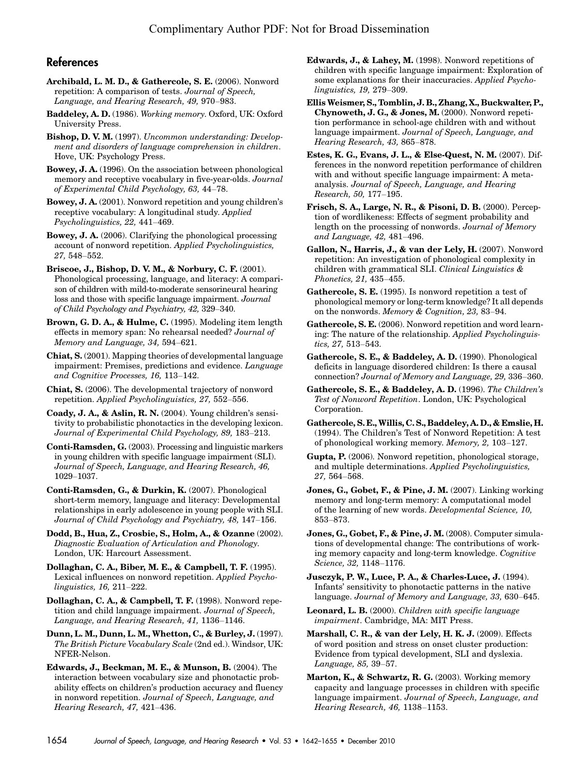### References

Archibald, L. M. D., & Gathercole, S. E. (2006). Nonword repetition: A comparison of tests. Journal of Speech, Language, and Hearing Research, 49, 970–983.

Baddeley, A. D. (1986). Working memory. Oxford, UK: Oxford University Press.

Bishop, D. V. M. (1997). Uncommon understanding: Development and disorders of language comprehension in children. Hove, UK: Psychology Press.

Bowey, J. A. (1996). On the association between phonological memory and receptive vocabulary in five-year-olds. Journal of Experimental Child Psychology, 63, 44–78.

Bowey, J. A. (2001). Nonword repetition and young children's receptive vocabulary: A longitudinal study. Applied Psycholinguistics, 22, 441–469.

Bowey, J. A. (2006). Clarifying the phonological processing account of nonword repetition. Applied Psycholinguistics, 27, 548–552.

Briscoe, J., Bishop, D. V. M., & Norbury, C. F. (2001). Phonological processing, language, and literacy: A comparison of children with mild-to-moderate sensorineural hearing loss and those with specific language impairment. Journal of Child Psychology and Psychiatry, 42, 329–340.

Brown, G. D. A., & Hulme, C. (1995). Modeling item length effects in memory span: No rehearsal needed? Journal of Memory and Language, 34, 594–621.

Chiat, S. (2001). Mapping theories of developmental language impairment: Premises, predictions and evidence. Language and Cognitive Processes, 16, 113–142.

Chiat, S. (2006). The developmental trajectory of nonword repetition. Applied Psycholinguistics, 27, 552–556.

Coady, J. A., & Aslin, R. N. (2004). Young children's sensitivity to probabilistic phonotactics in the developing lexicon. Journal of Experimental Child Psychology, 89, 183–213.

Conti-Ramsden, G. (2003). Processing and linguistic markers in young children with specific language impairment (SLI). Journal of Speech, Language, and Hearing Research, 46, 1029–1037.

Conti-Ramsden, G., & Durkin, K. (2007). Phonological short-term memory, language and literacy: Developmental relationships in early adolescence in young people with SLI. Journal of Child Psychology and Psychiatry, 48, 147–156.

Dodd, B., Hua, Z., Crosbie, S., Holm, A., & Ozanne (2002). Diagnostic Evaluation of Articulation and Phonology. London, UK: Harcourt Assessment.

Dollaghan, C. A., Biber, M. E., & Campbell, T. F. (1995). Lexical influences on nonword repetition. Applied Psycholinguistics, 16, 211–222.

Dollaghan, C. A., & Campbell, T. F. (1998). Nonword repetition and child language impairment. Journal of Speech, Language, and Hearing Research, 41, 1136–1146.

Dunn, L. M., Dunn, L. M., Whetton, C., & Burley, J. (1997). The British Picture Vocabulary Scale (2nd ed.). Windsor, UK: NFER-Nelson.

Edwards, J., Beckman, M. E., & Munson, B. (2004). The interaction between vocabulary size and phonotactic probability effects on children's production accuracy and fluency in nonword repetition. Journal of Speech, Language, and Hearing Research, 47, 421–436.

Edwards, J., & Lahey, M. (1998). Nonword repetitions of children with specific language impairment: Exploration of some explanations for their inaccuracies. Applied Psycholinguistics, 19, 279–309.

Ellis Weismer, S., Tomblin, J. B., Zhang, X., Buckwalter, P., Chynoweth, J. G., & Jones, M. (2000). Nonword repetition performance in school-age children with and without language impairment. Journal of Speech, Language, and Hearing Research, 43, 865–878.

Estes, K. G., Evans, J. L., & Else-Quest, N. M. (2007). Differences in the nonword repetition performance of children with and without specific language impairment: A metaanalysis. Journal of Speech, Language, and Hearing Research, 50, 177–195.

Frisch, S. A., Large, N. R., & Pisoni, D. B. (2000). Perception of wordlikeness: Effects of segment probability and length on the processing of nonwords. Journal of Memory and Language, 42, 481–496.

Gallon, N., Harris, J., & van der Lely, H. (2007). Nonword repetition: An investigation of phonological complexity in children with grammatical SLI. Clinical Linguistics  $\&$ Phonetics, 21, 435–455.

Gathercole, S. E. (1995). Is nonword repetition a test of phonological memory or long-term knowledge? It all depends on the nonwords. Memory & Cognition, 23, 83–94.

Gathercole, S. E. (2006). Nonword repetition and word learning: The nature of the relationship. Applied Psycholinguistics, 27, 513–543.

Gathercole, S. E., & Baddeley, A. D. (1990). Phonological deficits in language disordered children: Is there a causal connection? Journal of Memory and Language, 29, 336–360.

Gathercole, S. E., & Baddeley, A. D. (1996). The Children's Test of Nonword Repetition. London, UK: Psychological Corporation.

Gathercole, S. E., Willis, C. S., Baddeley, A. D., & Emslie, H. (1994). The Children's Test of Nonword Repetition: A test of phonological working memory. Memory, 2, 103–127.

Gupta, P. (2006). Nonword repetition, phonological storage, and multiple determinations. Applied Psycholinguistics, 27, 564–568.

Jones, G., Gobet, F., & Pine, J. M. (2007). Linking working memory and long-term memory: A computational model of the learning of new words. Developmental Science, 10, 853–873.

Jones, G., Gobet, F., & Pine, J. M. (2008). Computer simulations of developmental change: The contributions of working memory capacity and long-term knowledge. Cognitive Science, 32, 1148–1176.

Jusczyk, P. W., Luce, P. A., & Charles-Luce, J. (1994). Infants' sensitivity to phonotactic patterns in the native language. Journal of Memory and Language, 33, 630–645.

Leonard, L. B. (2000). Children with specific language impairment. Cambridge, MA: MIT Press.

Marshall, C. R., & van der Lely, H. K. J. (2009). Effects of word position and stress on onset cluster production: Evidence from typical development, SLI and dyslexia. Language, 85, 39–57.

Marton, K., & Schwartz, R. G. (2003). Working memory capacity and language processes in children with specific language impairment. Journal of Speech, Language, and Hearing Research, 46, 1138–1153.